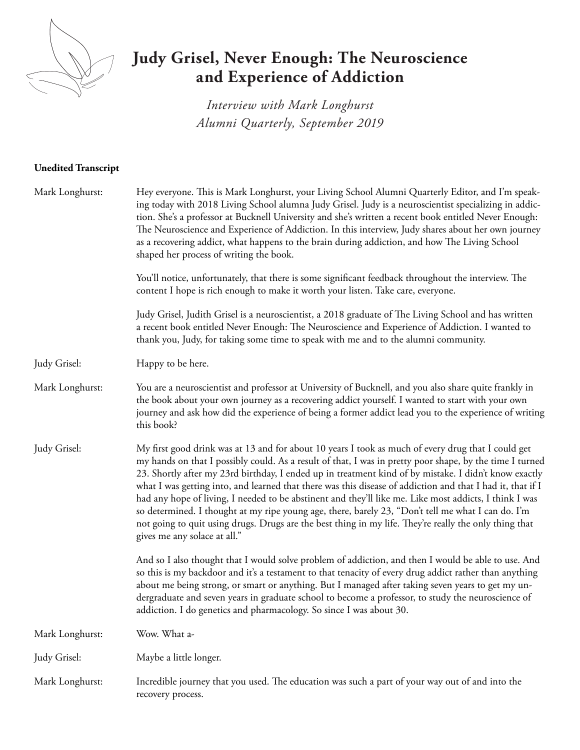

## **Judy Grisel, Never Enough: The Neuroscience and Experience of Addiction**

*Interview with Mark Longhurst Alumni Quarterly, September 2019*

## **Unedited Transcript**

| Mark Longhurst: | Hey everyone. This is Mark Longhurst, your Living School Alumni Quarterly Editor, and I'm speak-<br>ing today with 2018 Living School alumna Judy Grisel. Judy is a neuroscientist specializing in addic-<br>tion. She's a professor at Bucknell University and she's written a recent book entitled Never Enough:<br>The Neuroscience and Experience of Addiction. In this interview, Judy shares about her own journey<br>as a recovering addict, what happens to the brain during addiction, and how The Living School<br>shaped her process of writing the book.                                                                                                                                                                                                                            |
|-----------------|-------------------------------------------------------------------------------------------------------------------------------------------------------------------------------------------------------------------------------------------------------------------------------------------------------------------------------------------------------------------------------------------------------------------------------------------------------------------------------------------------------------------------------------------------------------------------------------------------------------------------------------------------------------------------------------------------------------------------------------------------------------------------------------------------|
|                 | You'll notice, unfortunately, that there is some significant feedback throughout the interview. The<br>content I hope is rich enough to make it worth your listen. Take care, everyone.                                                                                                                                                                                                                                                                                                                                                                                                                                                                                                                                                                                                         |
|                 | Judy Grisel, Judith Grisel is a neuroscientist, a 2018 graduate of The Living School and has written<br>a recent book entitled Never Enough: The Neuroscience and Experience of Addiction. I wanted to<br>thank you, Judy, for taking some time to speak with me and to the alumni community.                                                                                                                                                                                                                                                                                                                                                                                                                                                                                                   |
| Judy Grisel:    | Happy to be here.                                                                                                                                                                                                                                                                                                                                                                                                                                                                                                                                                                                                                                                                                                                                                                               |
| Mark Longhurst: | You are a neuroscientist and professor at University of Bucknell, and you also share quite frankly in<br>the book about your own journey as a recovering addict yourself. I wanted to start with your own<br>journey and ask how did the experience of being a former addict lead you to the experience of writing<br>this book?                                                                                                                                                                                                                                                                                                                                                                                                                                                                |
| Judy Grisel:    | My first good drink was at 13 and for about 10 years I took as much of every drug that I could get<br>my hands on that I possibly could. As a result of that, I was in pretty poor shape, by the time I turned<br>23. Shortly after my 23rd birthday, I ended up in treatment kind of by mistake. I didn't know exactly<br>what I was getting into, and learned that there was this disease of addiction and that I had it, that if I<br>had any hope of living, I needed to be abstinent and they'll like me. Like most addicts, I think I was<br>so determined. I thought at my ripe young age, there, barely 23, "Don't tell me what I can do. I'm<br>not going to quit using drugs. Drugs are the best thing in my life. They're really the only thing that<br>gives me any solace at all." |
|                 | And so I also thought that I would solve problem of addiction, and then I would be able to use. And<br>so this is my backdoor and it's a testament to that tenacity of every drug addict rather than anything<br>about me being strong, or smart or anything. But I managed after taking seven years to get my un-<br>dergraduate and seven years in graduate school to become a professor, to study the neuroscience of<br>addiction. I do genetics and pharmacology. So since I was about 30.                                                                                                                                                                                                                                                                                                 |
| Mark Longhurst: | Wow. What a-                                                                                                                                                                                                                                                                                                                                                                                                                                                                                                                                                                                                                                                                                                                                                                                    |
| Judy Grisel:    | Maybe a little longer.                                                                                                                                                                                                                                                                                                                                                                                                                                                                                                                                                                                                                                                                                                                                                                          |
| Mark Longhurst: | Incredible journey that you used. The education was such a part of your way out of and into the<br>recovery process.                                                                                                                                                                                                                                                                                                                                                                                                                                                                                                                                                                                                                                                                            |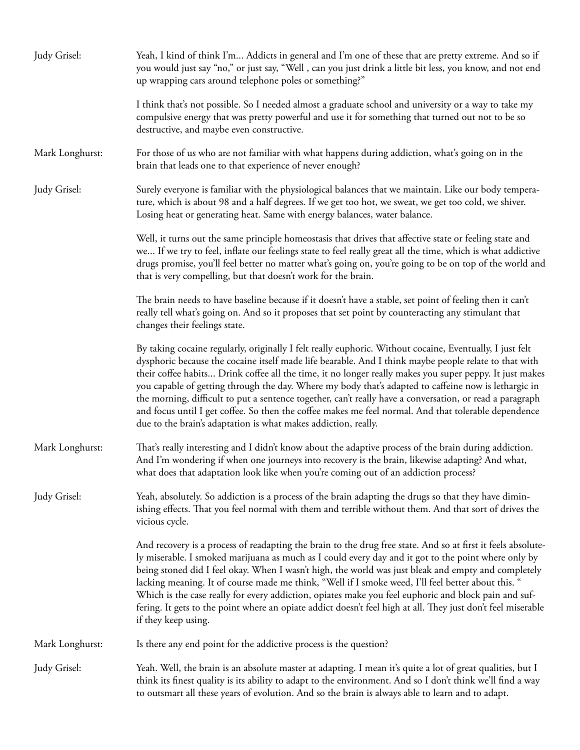| Judy Grisel:    | Yeah, I kind of think I'm Addicts in general and I'm one of these that are pretty extreme. And so if<br>you would just say "no," or just say, "Well, can you just drink a little bit less, you know, and not end<br>up wrapping cars around telephone poles or something?"                                                                                                                                                                                                                                                                                                                                                                                                                                                 |
|-----------------|----------------------------------------------------------------------------------------------------------------------------------------------------------------------------------------------------------------------------------------------------------------------------------------------------------------------------------------------------------------------------------------------------------------------------------------------------------------------------------------------------------------------------------------------------------------------------------------------------------------------------------------------------------------------------------------------------------------------------|
|                 | I think that's not possible. So I needed almost a graduate school and university or a way to take my<br>compulsive energy that was pretty powerful and use it for something that turned out not to be so<br>destructive, and maybe even constructive.                                                                                                                                                                                                                                                                                                                                                                                                                                                                      |
| Mark Longhurst: | For those of us who are not familiar with what happens during addiction, what's going on in the<br>brain that leads one to that experience of never enough?                                                                                                                                                                                                                                                                                                                                                                                                                                                                                                                                                                |
| Judy Grisel:    | Surely everyone is familiar with the physiological balances that we maintain. Like our body tempera-<br>ture, which is about 98 and a half degrees. If we get too hot, we sweat, we get too cold, we shiver.<br>Losing heat or generating heat. Same with energy balances, water balance.                                                                                                                                                                                                                                                                                                                                                                                                                                  |
|                 | Well, it turns out the same principle homeostasis that drives that affective state or feeling state and<br>we If we try to feel, inflate our feelings state to feel really great all the time, which is what addictive<br>drugs promise, you'll feel better no matter what's going on, you're going to be on top of the world and<br>that is very compelling, but that doesn't work for the brain.                                                                                                                                                                                                                                                                                                                         |
|                 | The brain needs to have baseline because if it doesn't have a stable, set point of feeling then it can't<br>really tell what's going on. And so it proposes that set point by counteracting any stimulant that<br>changes their feelings state.                                                                                                                                                                                                                                                                                                                                                                                                                                                                            |
|                 | By taking cocaine regularly, originally I felt really euphoric. Without cocaine, Eventually, I just felt<br>dysphoric because the cocaine itself made life bearable. And I think maybe people relate to that with<br>their coffee habits Drink coffee all the time, it no longer really makes you super peppy. It just makes<br>you capable of getting through the day. Where my body that's adapted to caffeine now is lethargic in<br>the morning, difficult to put a sentence together, can't really have a conversation, or read a paragraph<br>and focus until I get coffee. So then the coffee makes me feel normal. And that tolerable dependence<br>due to the brain's adaptation is what makes addiction, really. |
| Mark Longhurst: | That's really interesting and I didn't know about the adaptive process of the brain during addiction.<br>And I'm wondering if when one journeys into recovery is the brain, likewise adapting? And what,<br>what does that adaptation look like when you're coming out of an addiction process?                                                                                                                                                                                                                                                                                                                                                                                                                            |
| Judy Grisel:    | Yeah, absolutely. So addiction is a process of the brain adapting the drugs so that they have dimin-<br>ishing effects. That you feel normal with them and terrible without them. And that sort of drives the<br>vicious cycle.                                                                                                                                                                                                                                                                                                                                                                                                                                                                                            |
|                 | And recovery is a process of readapting the brain to the drug free state. And so at first it feels absolute-<br>ly miserable. I smoked marijuana as much as I could every day and it got to the point where only by<br>being stoned did I feel okay. When I wasn't high, the world was just bleak and empty and completely<br>lacking meaning. It of course made me think, "Well if I smoke weed, I'll feel better about this. "<br>Which is the case really for every addiction, opiates make you feel euphoric and block pain and suf-<br>fering. It gets to the point where an opiate addict doesn't feel high at all. They just don't feel miserable<br>if they keep using.                                            |
| Mark Longhurst: | Is there any end point for the addictive process is the question?                                                                                                                                                                                                                                                                                                                                                                                                                                                                                                                                                                                                                                                          |
| Judy Grisel:    | Yeah. Well, the brain is an absolute master at adapting. I mean it's quite a lot of great qualities, but I<br>think its finest quality is its ability to adapt to the environment. And so I don't think we'll find a way<br>to outsmart all these years of evolution. And so the brain is always able to learn and to adapt.                                                                                                                                                                                                                                                                                                                                                                                               |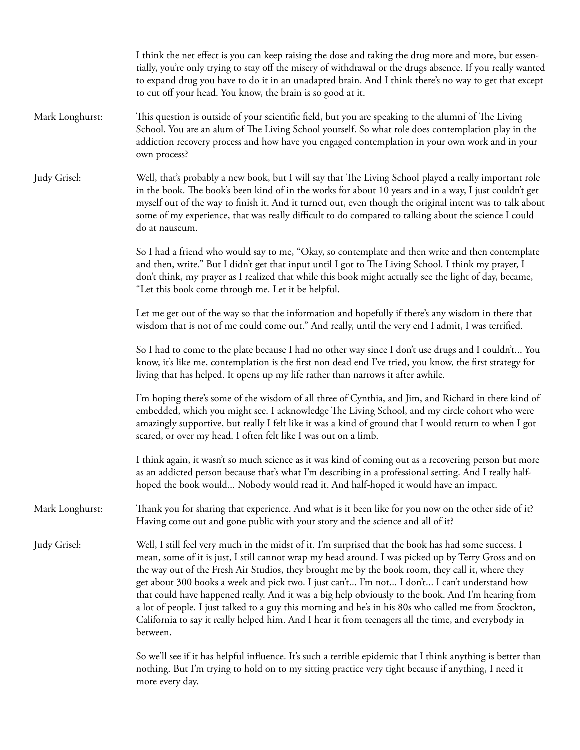|                 | I think the net effect is you can keep raising the dose and taking the drug more and more, but essen-<br>tially, you're only trying to stay off the misery of withdrawal or the drugs absence. If you really wanted<br>to expand drug you have to do it in an unadapted brain. And I think there's no way to get that except<br>to cut off your head. You know, the brain is so good at it.                                                                                                                                                                                                                                                                                                                                                       |
|-----------------|---------------------------------------------------------------------------------------------------------------------------------------------------------------------------------------------------------------------------------------------------------------------------------------------------------------------------------------------------------------------------------------------------------------------------------------------------------------------------------------------------------------------------------------------------------------------------------------------------------------------------------------------------------------------------------------------------------------------------------------------------|
| Mark Longhurst: | This question is outside of your scientific field, but you are speaking to the alumni of The Living<br>School. You are an alum of The Living School yourself. So what role does contemplation play in the<br>addiction recovery process and how have you engaged contemplation in your own work and in your<br>own process?                                                                                                                                                                                                                                                                                                                                                                                                                       |
| Judy Grisel:    | Well, that's probably a new book, but I will say that The Living School played a really important role<br>in the book. The book's been kind of in the works for about 10 years and in a way, I just couldn't get<br>myself out of the way to finish it. And it turned out, even though the original intent was to talk about<br>some of my experience, that was really difficult to do compared to talking about the science I could<br>do at nauseum.                                                                                                                                                                                                                                                                                            |
|                 | So I had a friend who would say to me, "Okay, so contemplate and then write and then contemplate<br>and then, write." But I didn't get that input until I got to The Living School. I think my prayer, I<br>don't think, my prayer as I realized that while this book might actually see the light of day, became,<br>"Let this book come through me. Let it be helpful.                                                                                                                                                                                                                                                                                                                                                                          |
|                 | Let me get out of the way so that the information and hopefully if there's any wisdom in there that<br>wisdom that is not of me could come out." And really, until the very end I admit, I was terrified.                                                                                                                                                                                                                                                                                                                                                                                                                                                                                                                                         |
|                 | So I had to come to the plate because I had no other way since I don't use drugs and I couldn't You<br>know, it's like me, contemplation is the first non dead end I've tried, you know, the first strategy for<br>living that has helped. It opens up my life rather than narrows it after awhile.                                                                                                                                                                                                                                                                                                                                                                                                                                               |
|                 | I'm hoping there's some of the wisdom of all three of Cynthia, and Jim, and Richard in there kind of<br>embedded, which you might see. I acknowledge The Living School, and my circle cohort who were<br>amazingly supportive, but really I felt like it was a kind of ground that I would return to when I got<br>scared, or over my head. I often felt like I was out on a limb.                                                                                                                                                                                                                                                                                                                                                                |
|                 | I think again, it wasn't so much science as it was kind of coming out as a recovering person but more<br>as an addicted person because that's what I'm describing in a professional setting. And I really half-<br>hoped the book would Nobody would read it. And half-hoped it would have an impact.                                                                                                                                                                                                                                                                                                                                                                                                                                             |
| Mark Longhurst: | Thank you for sharing that experience. And what is it been like for you now on the other side of it?<br>Having come out and gone public with your story and the science and all of it?                                                                                                                                                                                                                                                                                                                                                                                                                                                                                                                                                            |
| Judy Grisel:    | Well, I still feel very much in the midst of it. I'm surprised that the book has had some success. I<br>mean, some of it is just, I still cannot wrap my head around. I was picked up by Terry Gross and on<br>the way out of the Fresh Air Studios, they brought me by the book room, they call it, where they<br>get about 300 books a week and pick two. I just can't I'm not I don't I can't understand how<br>that could have happened really. And it was a big help obviously to the book. And I'm hearing from<br>a lot of people. I just talked to a guy this morning and he's in his 80s who called me from Stockton,<br>California to say it really helped him. And I hear it from teenagers all the time, and everybody in<br>between. |
|                 | So we'll see if it has helpful influence. It's such a terrible epidemic that I think anything is better than<br>nothing. But I'm trying to hold on to my sitting practice very tight because if anything, I need it<br>more every day.                                                                                                                                                                                                                                                                                                                                                                                                                                                                                                            |